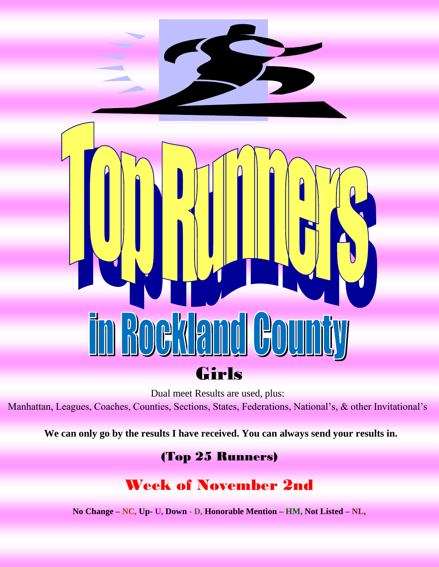

Dual meet Results are used, plus:

Manhattan, Leagues, Coaches, Counties, Sections, States, Federations, National's, & other Invitational's

**We can only go by the results I have received. You can always send your results in.**

#### (Top 25 Runners)

## Week of November 2nd

**No Change – NC, Up- U, Down - D, Honorable Mention – HM, Not Listed – NL,**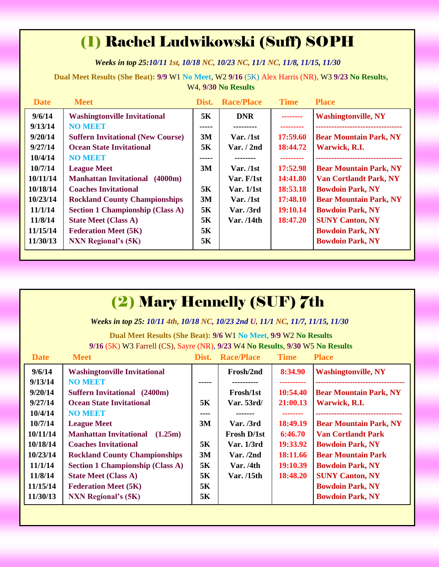# (1) Rachel Ludwikowski (Suff) SOPH

*Weeks in top 25:10/11 1st, 10/18 NC, 10/23 NC, 11/1 NC, 11/8, 11/15, 11/30*

**Dual Meet Results (She Beat): 9/9** W1 **No Meet**, W2 **9/16** (5K) Alex Harris (NR), W3 **9/23 No Results**, W4, **9/30 No Results**

| <b>Date</b> | <b>Meet</b>                              | Dist. | <b>Race/Place</b> | <b>Time</b> | <b>Place</b>                  |
|-------------|------------------------------------------|-------|-------------------|-------------|-------------------------------|
| 9/6/14      | <b>Washingtonville Invitational</b>      | 5Κ    | <b>DNR</b>        | -------     | <b>Washingtonville, NY</b>    |
| 9/13/14     | <b>NO MEET</b>                           | ----- | ---------         |             |                               |
| 9/20/14     | <b>Suffern Invitational (New Course)</b> | 3M    | Var. /1st         | 17:59.60    | <b>Bear Mountain Park, NY</b> |
| 9/27/14     | <b>Ocean State Invitational</b>          | 5K    | Var. $/2nd$       | 18:44.72    | Warwick, R.I.                 |
| 10/4/14     | <b>NO MEET</b>                           | ----- |                   |             |                               |
| 10/7/14     | <b>League Meet</b>                       | 3M    | Var. /1st         | 17:52.98    | <b>Bear Mountain Park, NY</b> |
| 10/11/14    | <b>Manhattan Invitational</b><br>(4000m) |       | Var. F/1st        | 14:41.80    | <b>Van Cortlandt Park, NY</b> |
| 10/18/14    | <b>Coaches Invitational</b>              | 5K    | Var. 1/1st        | 18:53.18    | <b>Bowdoin Park, NY</b>       |
| 10/23/14    | <b>Rockland County Championships</b>     | 3M    | Var. /1st         | 17:48.10    | <b>Bear Mountain Park, NY</b> |
| 11/1/14     | <b>Section 1 Championship (Class A)</b>  | 5Κ    | Var. /3rd         | 19:10.14    | <b>Bowdoin Park, NY</b>       |
| 11/8/14     | <b>State Meet (Class A)</b>              | 5K    | Var. /14th        | 18:47.20    | <b>SUNY Canton, NY</b>        |
| 11/15/14    | <b>Federation Meet (5K)</b>              | 5K    |                   |             | <b>Bowdoin Park, NY</b>       |
| 11/30/13    | <b>NXN Regional's (5K)</b>               | 5K    |                   |             | <b>Bowdoin Park, NY</b>       |
|             |                                          |       |                   |             |                               |

| <b>(2) Mary Hennelly (SUF) 7th</b> |                                                                                |       |                   |             |                               |  |
|------------------------------------|--------------------------------------------------------------------------------|-------|-------------------|-------------|-------------------------------|--|
|                                    | Weeks in top 25: 10/11 4th, 10/18 NC, 10/23 2nd U, 11/1 NC, 11/7, 11/15, 11/30 |       |                   |             |                               |  |
|                                    | Dual Meet Results (She Beat): 9/6 W1 No Meet, 9/9 W2 No Results                |       |                   |             |                               |  |
|                                    | 9/16 (5K) W3 Farrell (CS), Sayre (NR), 9/23 W4 No Results, 9/30 W5 No Results  |       |                   |             |                               |  |
| <b>Date</b>                        | <b>Meet</b>                                                                    | Dist. | <b>Race/Place</b> | <b>Time</b> | <b>Place</b>                  |  |
| 9/6/14                             | <b>Washingtonville Invitational</b>                                            |       | Frosh/2nd         | 8:34.90     | <b>Washingtonville, NY</b>    |  |
| 9/13/14                            | <b>NO MEET</b>                                                                 |       | ---------         | ----------  |                               |  |
| 9/20/14                            | <b>Suffern Invitational</b> (2400m)                                            |       | Frosh/1st         | 10:54.40    | <b>Bear Mountain Park, NY</b> |  |
| 9/27/14                            | <b>Ocean State Invitational</b>                                                | 5K    | Var. 53rd/        | 21:00.13    | Warwick, R.I.                 |  |
| 10/4/14                            | <b>NO MEET</b>                                                                 | ----  |                   | --------    |                               |  |
| 10/7/14                            | <b>League Meet</b>                                                             | 3M    | Var. / 3rd        | 18:49.19    | <b>Bear Mountain Park, NY</b> |  |
| 10/11/14                           | <b>Manhattan Invitational</b><br>(1.25m)                                       |       | Frosh D/1st       | 6:46.70     | <b>Van Cortlandt Park</b>     |  |
| 10/18/14                           | <b>Coaches Invitational</b>                                                    | 5K    | Var. 1/3rd        | 19:33.92    | <b>Bowdoin Park, NY</b>       |  |
| 10/23/14                           | <b>Rockland County Championships</b>                                           | 3M    | Var. $/2nd$       | 18:11.66    | <b>Bear Mountain Park</b>     |  |
| 11/1/14                            | <b>Section 1 Championship (Class A)</b>                                        | 5K    | Var./4th          | 19:10.39    | <b>Bowdoin Park, NY</b>       |  |
| 11/8/14                            | <b>State Meet (Class A)</b>                                                    | 5K    | Var. $/15$ th     | 18:48.20    | <b>SUNY Canton, NY</b>        |  |
| 11/15/14                           | <b>Federation Meet (5K)</b>                                                    | 5K    |                   |             | <b>Bowdoin Park, NY</b>       |  |
| 11/30/13                           | <b>NXN</b> Regional's (5K)                                                     | 5K    |                   |             | <b>Bowdoin Park, NY</b>       |  |
|                                    |                                                                                |       |                   |             |                               |  |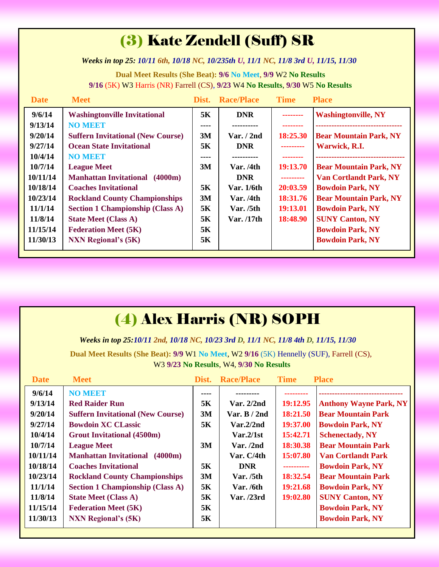# (3) Kate Zendell (Suff) SR

*Weeks in top 25: 10/11 6th, 10/18 NC, 10/235th U, 11/1 NC, 11/8 3rd U, 11/15, 11/30*

**Dual Meet Results (She Beat): 9/6 No Meet**, **9/9** W2 **No Results 9/16** (5K) W3 Harris (NR) Farrell (CS), **9/23** W4 **No Results**, **9/30** W5 **No Results**

| <b>Date</b> | <b>Meet</b>                              |      | Dist. Race/Place | <b>Time</b> | <b>Place</b>                  |
|-------------|------------------------------------------|------|------------------|-------------|-------------------------------|
| 9/6/14      | <b>Washingtonville Invitational</b>      | 5K   | <b>DNR</b>       | --------    | <b>Washingtonville, NY</b>    |
| 9/13/14     | <b>NO MEET</b>                           | ---- |                  |             |                               |
| 9/20/14     | <b>Suffern Invitational (New Course)</b> | 3M   | Var. $/$ 2nd     | 18:25.30    | <b>Bear Mountain Park, NY</b> |
| 9/27/14     | <b>Ocean State Invitational</b>          | 5K   | <b>DNR</b>       | ---------   | Warwick, R.I.                 |
| 10/4/14     | <b>NO MEET</b>                           | ---- |                  |             |                               |
| 10/7/14     | <b>League Meet</b>                       | 3M   | Var. / 4th       | 19:13.70    | <b>Bear Mountain Park, NY</b> |
| 10/11/14    | <b>Manhattan Invitational</b><br>(4000m) |      | <b>DNR</b>       | ---------   | <b>Van Cortlandt Park, NY</b> |
| 10/18/14    | <b>Coaches Invitational</b>              | 5K   | Var. 1/6th       | 20:03.59    | <b>Bowdoin Park, NY</b>       |
| 10/23/14    | <b>Rockland County Championships</b>     | 3M   | Var. / 4th       | 18:31.76    | <b>Bear Mountain Park, NY</b> |
| 11/1/14     | <b>Section 1 Championship (Class A)</b>  | 5K   | Var. $/5th$      | 19:13.01    | <b>Bowdoin Park, NY</b>       |
| 11/8/14     | <b>State Meet (Class A)</b>              | 5K   | Var. /17th       | 18:48.90    | <b>SUNY Canton, NY</b>        |
| 11/15/14    | <b>Federation Meet (5K)</b>              | 5K   |                  |             | <b>Bowdoin Park, NY</b>       |
| 11/30/13    | <b>NXN Regional's (5K)</b>               | 5K   |                  |             | <b>Bowdoin Park, NY</b>       |
|             |                                          |      |                  |             |                               |

| (4) Alex Harris (NR) SOPH |  |  |  |
|---------------------------|--|--|--|
|---------------------------|--|--|--|

*Weeks in top 25:10/11 2nd, 10/18 NC, 10/23 3rd D, 11/1 NC, 11/8 4th D, 11/15, 11/30*

**Dual Meet Results (She Beat): 9/9** W1 **No Meet**, W2 **9/16** (5K) Hennelly (SUF), Farrell (CS), W3 **9/23 No Results**, W4, **9/30 No Results**

| <b>Date</b> | <b>Meet</b>                              | Dist. | <b>Race/Place</b> | <b>Time</b> | <b>Place</b>                  |
|-------------|------------------------------------------|-------|-------------------|-------------|-------------------------------|
| 9/6/14      | <b>NO MEET</b>                           | ----  |                   |             |                               |
| 9/13/14     | <b>Red Raider Run</b>                    | 5K    | Var. $2/2nd$      | 19:12.95    | <b>Anthony Wayne Park, NY</b> |
| 9/20/14     | <b>Suffern Invitational (New Course)</b> | 3M    | Var. B $/$ 2nd    | 18:21.50    | <b>Bear Mountain Park</b>     |
| 9/27/14     | <b>Bowdoin XC CLassic</b>                | 5K    | Var.2/2nd         | 19:37.00    | <b>Bowdoin Park, NY</b>       |
| 10/4/14     | <b>Grout Invitational (4500m)</b>        |       | Var.2/1st         | 15:42.71    | <b>Schenectady, NY</b>        |
| 10/7/14     | <b>League Meet</b>                       | 3M    | Var. /2nd         | 18:30.38    | <b>Bear Mountain Park</b>     |
| 10/11/14    | <b>Manhattan Invitational</b> (4000m)    |       | Var. C/4th        | 15:07.80    | <b>Van Cortlandt Park</b>     |
| 10/18/14    | <b>Coaches Invitational</b>              | 5K    | <b>DNR</b>        | ----------  | <b>Bowdoin Park, NY</b>       |
| 10/23/14    | <b>Rockland County Championships</b>     | 3M    | Var. /5th         | 18:32.54    | <b>Bear Mountain Park</b>     |
| 11/1/14     | <b>Section 1 Championship (Class A)</b>  | 5K    | Var. $/6th$       | 19:21.68    | <b>Bowdoin Park, NY</b>       |
| 11/8/14     | <b>State Meet (Class A)</b>              | 5K    | Var. /23rd        | 19:02.80    | <b>SUNY Canton, NY</b>        |
| 11/15/14    | <b>Federation Meet (5K)</b>              | 5K    |                   |             | <b>Bowdoin Park, NY</b>       |
| 11/30/13    | <b>NXN Regional's (5K)</b>               | 5K    |                   |             | <b>Bowdoin Park, NY</b>       |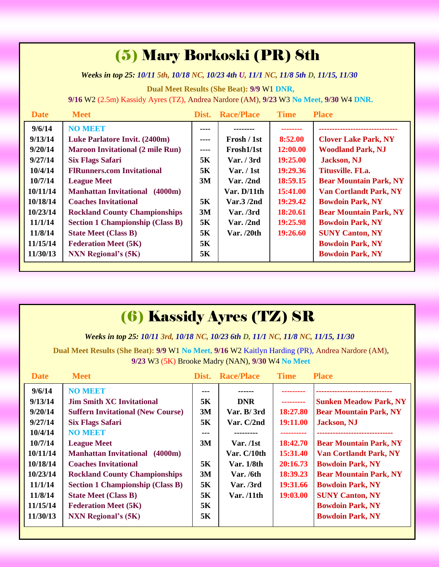## (5) Mary Borkoski (PR) 8th

*Weeks in top 25: 10/11 5th, 10/18 NC, 10/23 4th U, 11/1 NC, 11/8 5th D, 11/15, 11/30*

**Dual Meet Results (She Beat): 9/9** W1 **DNR,**

**9/16** W2 (2.5m) Kassidy Ayres (TZ), Andrea Nardore (AM), **9/23** W3 **No Meet, 9/30** W4 **DNR.** 

| <b>Date</b> | <b>Meet</b>                              | Dist.                                                                                                                                                                                                                                                                                                                                                                                        | <b>Race/Place</b> | <b>Time</b> | <b>Place</b>                  |
|-------------|------------------------------------------|----------------------------------------------------------------------------------------------------------------------------------------------------------------------------------------------------------------------------------------------------------------------------------------------------------------------------------------------------------------------------------------------|-------------------|-------------|-------------------------------|
| 9/6/14      | <b>NO MEET</b>                           | ----                                                                                                                                                                                                                                                                                                                                                                                         |                   |             |                               |
| 9/13/14     | Luke Parlatore Invit. (2400m)            | ----                                                                                                                                                                                                                                                                                                                                                                                         | Frosh / 1st       | 8:52.00     | <b>Clover Lake Park, NY</b>   |
| 9/20/14     | <b>Maroon Invitational (2 mile Run)</b>  | $\frac{1}{2} \frac{1}{2} \frac{1}{2} \frac{1}{2} \frac{1}{2} \frac{1}{2} \frac{1}{2} \frac{1}{2} \frac{1}{2} \frac{1}{2} \frac{1}{2} \frac{1}{2} \frac{1}{2} \frac{1}{2} \frac{1}{2} \frac{1}{2} \frac{1}{2} \frac{1}{2} \frac{1}{2} \frac{1}{2} \frac{1}{2} \frac{1}{2} \frac{1}{2} \frac{1}{2} \frac{1}{2} \frac{1}{2} \frac{1}{2} \frac{1}{2} \frac{1}{2} \frac{1}{2} \frac{1}{2} \frac{$ | Frosh1/1st        | 12:00.00    | <b>Woodland Park, NJ</b>      |
| 9/27/14     | <b>Six Flags Safari</b>                  | 5K                                                                                                                                                                                                                                                                                                                                                                                           | Var. / 3rd        | 19:25.00    | <b>Jackson</b> , NJ           |
| 10/4/14     | <b>FIRunners.com Invitational</b>        | 5K                                                                                                                                                                                                                                                                                                                                                                                           | Var. / 1st        | 19:29.36    | Titusville. FLa.              |
| 10/7/14     | <b>League Meet</b>                       | 3M                                                                                                                                                                                                                                                                                                                                                                                           | Var. /2nd         | 18:59.15    | <b>Bear Mountain Park, NY</b> |
| 10/11/14    | <b>Manhattan Invitational</b><br>(4000m) |                                                                                                                                                                                                                                                                                                                                                                                              | Var. $D/11$ th    | 15:41.00    | <b>Van Cortlandt Park, NY</b> |
| 10/18/14    | <b>Coaches Invitational</b>              | 5K                                                                                                                                                                                                                                                                                                                                                                                           | Var.3/2nd         | 19:29.42    | <b>Bowdoin Park, NY</b>       |
| 10/23/14    | <b>Rockland County Championships</b>     | 3M                                                                                                                                                                                                                                                                                                                                                                                           | Var. / 3rd        | 18:20.61    | <b>Bear Mountain Park, NY</b> |
| 11/1/14     | <b>Section 1 Championship (Class B)</b>  | 5K                                                                                                                                                                                                                                                                                                                                                                                           | Var. /2nd         | 19:25.98    | <b>Bowdoin Park, NY</b>       |
| 11/8/14     | <b>State Meet (Class B)</b>              | 5K                                                                                                                                                                                                                                                                                                                                                                                           | Var. $/20th$      | 19:26.60    | <b>SUNY Canton, NY</b>        |
| 11/15/14    | <b>Federation Meet (5K)</b>              | 5K                                                                                                                                                                                                                                                                                                                                                                                           |                   |             | <b>Bowdoin Park, NY</b>       |
| 11/30/13    | <b>NXN Regional's (5K)</b>               | 5K                                                                                                                                                                                                                                                                                                                                                                                           |                   |             | <b>Bowdoin Park, NY</b>       |

# (6) Kassidy Ayres (TZ) SR

*Weeks in top 25: 10/11 3rd, 10/18 NC, 10/23 6th D, 11/1 NC, 11/8 NC, 11/15, 11/30*

**Dual Meet Results (She Beat): 9/9** W1 **No Meet, 9/16** W2 Kaitlyn Harding (PR), Andrea Nardore (AM), **9/23** W3 (5K) Brooke Madry (NAN), **9/30** W4 **No Meet**

| <b>Date</b>                                                                                          | <b>Meet</b>                                                                                                                                                                                                                                                                                    | Dist.                                         | <b>Race/Place</b>                                                                                   | <b>Time</b>                                                                        | <b>Place</b>                                                                                                                                                                                                                                                           |
|------------------------------------------------------------------------------------------------------|------------------------------------------------------------------------------------------------------------------------------------------------------------------------------------------------------------------------------------------------------------------------------------------------|-----------------------------------------------|-----------------------------------------------------------------------------------------------------|------------------------------------------------------------------------------------|------------------------------------------------------------------------------------------------------------------------------------------------------------------------------------------------------------------------------------------------------------------------|
| 9/6/14<br>9/13/14<br>9/20/14<br>9/27/14                                                              | <b>NO MEET</b><br><b>Jim Smith XC Invitational</b><br><b>Suffern Invitational (New Course)</b><br><b>Six Flags Safari</b>                                                                                                                                                                      | ---<br>5K<br>3M<br>5K                         | <b>DNR</b><br>Var. B/3rd<br>Var. $C/2nd$                                                            | ---------<br>18:27.80<br>19:11.00                                                  | <b>Sunken Meadow Park, NY</b><br><b>Bear Mountain Park, NY</b><br><b>Jackson</b> , NJ                                                                                                                                                                                  |
| 10/4/14<br>10/7/14<br>10/11/14<br>10/18/14<br>10/23/14<br>11/1/14<br>11/8/14<br>11/15/14<br>11/30/13 | <b>NO MEET</b><br><b>League Meet</b><br><b>Manhattan Invitational</b><br>(4000m)<br><b>Coaches Invitational</b><br><b>Rockland County Championships</b><br><b>Section 1 Championship (Class B)</b><br><b>State Meet (Class B)</b><br><b>Federation Meet (5K)</b><br><b>NXN Regional's (5K)</b> | ---<br>3M<br>5K<br>3M<br>5K<br>5K<br>5K<br>5K | ---------<br>Var. /1st<br>Var. C/10th<br>Var. 1/8th<br><b>Var.</b> /6th<br>Var. / 3rd<br>Var. /11th | ----------<br>18:42.70<br>15:31.40<br>20:16.73<br>18:39.23<br>19:31.66<br>19:03.00 | -----------------------------<br><b>Bear Mountain Park, NY</b><br><b>Van Cortlandt Park, NY</b><br><b>Bowdoin Park, NY</b><br><b>Bear Mountain Park, NY</b><br><b>Bowdoin Park, NY</b><br><b>SUNY Canton, NY</b><br><b>Bowdoin Park, NY</b><br><b>Bowdoin Park, NY</b> |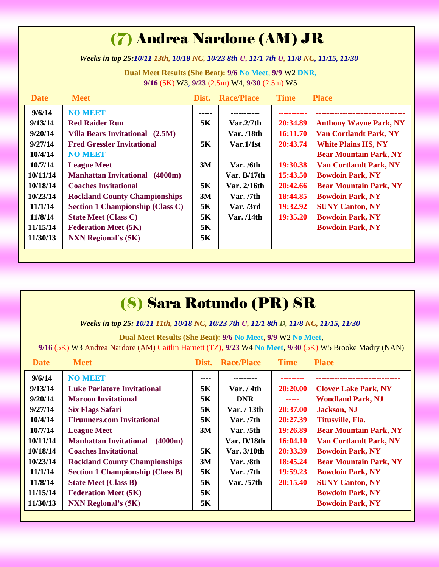# (7) Andrea Nardone (AM) JR

*Weeks in top 25:10/11 13th, 10/18 NC, 10/23 8th U, 11/1 7th U, 11/8 NC, 11/15, 11/30*

**Dual Meet Results (She Beat): 9/6 No Meet**, **9/9** W2 **DNR, 9/16** (5K) W3, **9/23** (2.5m) W4, **9/30** (2.5m) W5

| <b>Date</b> | <b>Meet</b>                              | Dist.     | <b>Race/Place</b> | <b>Time</b> | <b>Place</b>                  |
|-------------|------------------------------------------|-----------|-------------------|-------------|-------------------------------|
| 9/6/14      | <b>NO MEET</b>                           | ----      |                   |             |                               |
| 9/13/14     | <b>Red Raider Run</b>                    | 5K        | Var.2/7th         | 20:34.89    | <b>Anthony Wayne Park, NY</b> |
| 9/20/14     | Villa Bears Invitational (2.5M)          |           | Var. /18th        | 16:11.70    | <b>Van Cortlandt Park, NY</b> |
| 9/27/14     | <b>Fred Gressler Invitational</b>        | 5K        | Var.1/1st         | 20:43.74    | <b>White Plains HS, NY</b>    |
| 10/4/14     | <b>NO MEET</b>                           | -----     |                   |             | <b>Bear Mountain Park, NY</b> |
| 10/7/14     | <b>League Meet</b>                       | 3M        | Var./6th          | 19:30.38    | <b>Van Cortlandt Park, NY</b> |
| 10/11/14    | <b>Manhattan Invitational</b><br>(4000m) |           | Var. $B/17th$     | 15:43.50    | <b>Bowdoin Park, NY</b>       |
| 10/18/14    | <b>Coaches Invitational</b>              | 5K        | Var. 2/16th       | 20:42.66    | <b>Bear Mountain Park, NY</b> |
| 10/23/14    | <b>Rockland County Championships</b>     | 3M        | Var. /7th         | 18:44.85    | <b>Bowdoin Park, NY</b>       |
| 11/1/14     | <b>Section 1 Championship (Class C)</b>  | 5K        | Var. /3rd         | 19:32.92    | <b>SUNY Canton, NY</b>        |
| 11/8/14     | <b>State Meet (Class C)</b>              | <b>5K</b> | Var. /14th        | 19:35.20    | <b>Bowdoin Park, NY</b>       |
| 11/15/14    | <b>Federation Meet (5K)</b>              | 5K        |                   |             | <b>Bowdoin Park, NY</b>       |
| 11/30/13    | <b>NXN</b> Regional's (5K)               | 5K        |                   |             |                               |
|             |                                          |           |                   |             |                               |

# (8) Sara Rotundo (PR) SR

*Weeks in top 25: 10/11 11th, 10/18 NC, 10/23 7th U, 11/1 8th D, 11/8 NC, 11/15, 11/30*

**Dual Meet Results (She Beat): 9/6 No Meet**, **9/9** W2 **No Meet**,

**9/16** (5K) W3 Andrea Nardore (AM) Caitlin Harnett (TZ), **9/23** W4 **No Meet**, **9/30** (5K) W5 Brooke Madry (NAN)

| <b>Date</b> | <b>Meet</b>                              | Dist. | <b>Race/Place</b> | <b>Time</b>                                                                                                                                                                                                                                                                                                                                                                                                                                                                            | <b>Place</b>                  |
|-------------|------------------------------------------|-------|-------------------|----------------------------------------------------------------------------------------------------------------------------------------------------------------------------------------------------------------------------------------------------------------------------------------------------------------------------------------------------------------------------------------------------------------------------------------------------------------------------------------|-------------------------------|
| 9/6/14      | <b>NO MEET</b>                           | ----  |                   |                                                                                                                                                                                                                                                                                                                                                                                                                                                                                        |                               |
| 9/13/14     | <b>Luke Parlatore Invitational</b>       | 5K    | Var. / 4th        | 20:20.00                                                                                                                                                                                                                                                                                                                                                                                                                                                                               | <b>Clover Lake Park, NY</b>   |
| 9/20/14     | <b>Maroon Invitational</b>               | 5K    | <b>DNR</b>        | $\begin{array}{cccccccccc} \multicolumn{2}{c}{} & \multicolumn{2}{c}{} & \multicolumn{2}{c}{} & \multicolumn{2}{c}{} & \multicolumn{2}{c}{} & \multicolumn{2}{c}{} & \multicolumn{2}{c}{} & \multicolumn{2}{c}{} & \multicolumn{2}{c}{} & \multicolumn{2}{c}{} & \multicolumn{2}{c}{} & \multicolumn{2}{c}{} & \multicolumn{2}{c}{} & \multicolumn{2}{c}{} & \multicolumn{2}{c}{} & \multicolumn{2}{c}{} & \multicolumn{2}{c}{} & \multicolumn{2}{c}{} & \multicolumn{2}{c}{} & \mult$ | <b>Woodland Park, NJ</b>      |
| 9/27/14     | <b>Six Flags Safari</b>                  | 5K    | Var. / 13th       | 20:37.00                                                                                                                                                                                                                                                                                                                                                                                                                                                                               | <b>Jackson</b> , NJ           |
| 10/4/14     | <b>Flrunners.com Invitational</b>        | 5K    | Var. $/7th$       | 20:27.39                                                                                                                                                                                                                                                                                                                                                                                                                                                                               | Titusville, Fla.              |
| 10/7/14     | <b>League Meet</b>                       | 3M    | Var. $/5th$       | 19:26.89                                                                                                                                                                                                                                                                                                                                                                                                                                                                               | <b>Bear Mountain Park, NY</b> |
| 10/11/14    | <b>Manhattan Invitational</b><br>(4000m) |       | Var. D/18th       | 16:04.10                                                                                                                                                                                                                                                                                                                                                                                                                                                                               | <b>Van Cortlandt Park, NY</b> |
| 10/18/14    | <b>Coaches Invitational</b>              | 5K    | Var. 3/10th       | 20:33.39                                                                                                                                                                                                                                                                                                                                                                                                                                                                               | <b>Bowdoin Park, NY</b>       |
| 10/23/14    | <b>Rockland County Championships</b>     | 3M    | Var. /8th         | 18:45.24                                                                                                                                                                                                                                                                                                                                                                                                                                                                               | <b>Bear Mountain Park, NY</b> |
| 11/1/14     | <b>Section 1 Championship (Class B)</b>  | 5K    | Var. / 7th        | 19:59.23                                                                                                                                                                                                                                                                                                                                                                                                                                                                               | <b>Bowdoin Park, NY</b>       |
| 11/8/14     | <b>State Meet (Class B)</b>              | 5K    | Var. /57th        | 20:15.40                                                                                                                                                                                                                                                                                                                                                                                                                                                                               | <b>SUNY Canton, NY</b>        |
| 11/15/14    | <b>Federation Meet (5K)</b>              | 5K    |                   |                                                                                                                                                                                                                                                                                                                                                                                                                                                                                        | <b>Bowdoin Park, NY</b>       |
| 11/30/13    | <b>NXN Regional's (5K)</b>               | 5K    |                   |                                                                                                                                                                                                                                                                                                                                                                                                                                                                                        | <b>Bowdoin Park, NY</b>       |
|             |                                          |       |                   |                                                                                                                                                                                                                                                                                                                                                                                                                                                                                        |                               |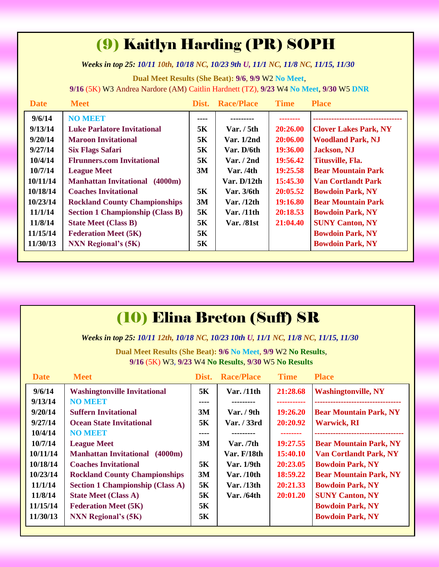## (9) Kaitlyn Harding (PR) SOPH

*Weeks in top 25: 10/11 10th, 10/18 NC, 10/23 9th U, 11/1 NC, 11/8 NC, 11/15, 11/30*

**Dual Meet Results (She Beat): 9/6**, **9/9** W2 **No Meet**, **9/16** (5K) W3 Andrea Nardore (AM) Caitlin Hardnett (TZ), **9/23** W4 **No Meet**, **9/30** W5 **DNR**

| <b>Date</b> | <b>Meet</b>                             |      | Dist. Race/Place  | <b>Time</b> | <b>Place</b>                 |
|-------------|-----------------------------------------|------|-------------------|-------------|------------------------------|
| 9/6/14      | <b>NO MEET</b>                          | ---- |                   |             |                              |
| 9/13/14     | <b>Luke Parlatore Invitational</b>      | 5K   | Var. $/$ 5th      | 20:26.00    | <b>Clover Lakes Park, NY</b> |
| 9/20/14     | <b>Maroon Invitational</b>              | 5K   | Var. $1/2nd$      | 20:06.00    | <b>Woodland Park, NJ</b>     |
| 9/27/14     | <b>Six Flags Safari</b>                 | 5K   | Var. D/6th        | 19:36.00    | <b>Jackson</b> , NJ          |
| 10/4/14     | <b>Flrunners.com Invitational</b>       | 5K   | Var. / 2nd        | 19:56.42    | Titusville, Fla.             |
| 10/7/14     | <b>League Meet</b>                      | 3M   | Var. /4th         | 19:25.58    | <b>Bear Mountain Park</b>    |
| 10/11/14    | <b>Manhattan Invitational</b> (4000m)   |      | Var. $D/12th$     | 15:45.30    | <b>Van Cortlandt Park</b>    |
| 10/18/14    | <b>Coaches Invitational</b>             | 5K   | Var. 3/6th        | 20:05.52    | <b>Bowdoin Park, NY</b>      |
| 10/23/14    | <b>Rockland County Championships</b>    | 3M   | Var. $/12$ th     | 19:16.80    | <b>Bear Mountain Park</b>    |
| 11/1/14     | <b>Section 1 Championship (Class B)</b> | 5K   | Var. /11th        | 20:18.53    | <b>Bowdoin Park, NY</b>      |
| 11/8/14     | <b>State Meet (Class B)</b>             | 5K   | <b>Var.</b> /81st | 21:04.40    | <b>SUNY Canton, NY</b>       |
| 11/15/14    | <b>Federation Meet (5K)</b>             | 5K   |                   |             | <b>Bowdoin Park, NY</b>      |
| 11/30/13    | <b>NXN Regional's (5K)</b>              | 5K   |                   |             | <b>Bowdoin Park, NY</b>      |
|             |                                         |      |                   |             |                              |

| <b>(10) Elina Breton (Suff) SR</b> |  |
|------------------------------------|--|
|------------------------------------|--|

*Weeks in top 25: 10/11 12th, 10/18 NC, 10/23 10th U, 11/1 NC, 11/8 NC, 11/15, 11/30*

**Dual Meet Results (She Beat): 9/6 No Meet**, **9/9** W2 **No Results**, **9/16** (5K) W3, **9/23** W4 **No Results**, **9/30** W5 **No Results**

| <b>Date</b> | <b>Meet</b>                              | Dist. | <b>Race/Place</b> | <b>Time</b> | <b>Place</b>                       |
|-------------|------------------------------------------|-------|-------------------|-------------|------------------------------------|
| 9/6/14      | <b>Washingtonville Invitational</b>      | 5K    | Var. /11th        | 21:28.68    | <b>Washingtonville, NY</b>         |
| 9/13/14     | <b>NO MEET</b>                           | ----  |                   |             | -----------------------------      |
| 9/20/14     | <b>Suffern Invitational</b>              | 3M    | Var. $/9th$       | 19:26.20    | <b>Bear Mountain Park, NY</b>      |
| 9/27/14     | <b>Ocean State Invitational</b>          | 5K    | Var. / 33rd       | 20:20.92    | <b>Warwick, RI</b>                 |
| 10/4/14     | <b>NO MEET</b>                           | ----  | ---------         | --------    | ---------------------------------- |
| 10/7/14     | <b>League Meet</b>                       | 3M    | Var. / 7th        | 19:27.55    | <b>Bear Mountain Park, NY</b>      |
| 10/11/14    | <b>Manhattan Invitational</b><br>(4000m) |       | Var. $F/18th$     | 15:40.10    | <b>Van Cortlandt Park, NY</b>      |
| 10/18/14    | <b>Coaches Invitational</b>              | 5K    | Var. 1/9th        | 20:23.05    | <b>Bowdoin Park, NY</b>            |
| 10/23/14    | <b>Rockland County Championships</b>     | 3M    | <b>Var.</b> /10th | 18:59.22    | <b>Bear Mountain Park, NY</b>      |
| 11/1/14     | <b>Section 1 Championship (Class A)</b>  | 5K    | Var. /13th        | 20:21.33    | <b>Bowdoin Park, NY</b>            |
| 11/8/14     | <b>State Meet (Class A)</b>              | 5K    | Var. /64th        | 20:01.20    | <b>SUNY Canton, NY</b>             |
| 11/15/14    | <b>Federation Meet (5K)</b>              | 5K    |                   |             | <b>Bowdoin Park, NY</b>            |
| 11/30/13    | <b>NXN Regional's (5K)</b>               | 5K    |                   |             | <b>Bowdoin Park, NY</b>            |
|             |                                          |       |                   |             |                                    |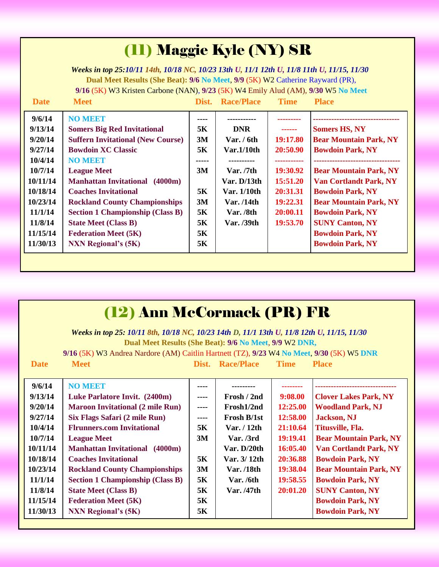| (II) Maggie Kyle (NY) SR                                                                                                                                                                                                                                                                                                                                  |                                                                                                                                                                                                                                                                                                                                                                                                                              |                                                                  |                                                                                                                               |                                                                                                        |                                                                                                                                                                                                                                                                                                                           |  |  |  |  |
|-----------------------------------------------------------------------------------------------------------------------------------------------------------------------------------------------------------------------------------------------------------------------------------------------------------------------------------------------------------|------------------------------------------------------------------------------------------------------------------------------------------------------------------------------------------------------------------------------------------------------------------------------------------------------------------------------------------------------------------------------------------------------------------------------|------------------------------------------------------------------|-------------------------------------------------------------------------------------------------------------------------------|--------------------------------------------------------------------------------------------------------|---------------------------------------------------------------------------------------------------------------------------------------------------------------------------------------------------------------------------------------------------------------------------------------------------------------------------|--|--|--|--|
| Weeks in top 25:10/11 14th, 10/18 NC, 10/23 13th U, 11/1 12th U, 11/8 11th U, 11/15, 11/30<br>Dual Meet Results (She Beat): 9/6 No Meet, 9/9 (5K) W2 Catherine Rayward (PR),<br>9/16 (5K) W3 Kristen Carbone (NAN), 9/23 (5K) W4 Emily Alud (AM), 9/30 W5 No Meet<br><b>Date</b><br><b>Meet</b><br><b>Dist.</b> Race/Place<br><b>Time</b><br><b>Place</b> |                                                                                                                                                                                                                                                                                                                                                                                                                              |                                                                  |                                                                                                                               |                                                                                                        |                                                                                                                                                                                                                                                                                                                           |  |  |  |  |
| 9/6/14<br>9/13/14<br>9/20/14<br>9/27/14<br>10/4/14<br>10/7/14<br>10/11/14<br>10/18/14<br>10/23/14<br>11/1/14<br>11/8/14<br>11/15/14<br>11/30/13                                                                                                                                                                                                           | <b>NO MEET</b><br><b>Somers Big Red Invitational</b><br><b>Suffern Invitational (New Course)</b><br><b>Bowdoin XC Classic</b><br><b>NO MEET</b><br><b>League Meet</b><br><b>Manhattan Invitational</b> (4000m)<br><b>Coaches Invitational</b><br><b>Rockland County Championships</b><br><b>Section 1 Championship (Class B)</b><br><b>State Meet (Class B)</b><br><b>Federation Meet (5K)</b><br><b>NXN Regional's (5K)</b> | ----<br>5K<br>3M<br>5K<br>3M<br>5K<br>3M<br>5K<br>5K<br>5K<br>5K | <b>DNR</b><br>Var. $/ 6th$<br>Var.1/10th<br>Var. / 7th<br>Var. D/13th<br>Var. 1/10th<br>Var. /14th<br>Var. /8th<br>Var. /39th | ------<br>19:17.80<br>20:50.90<br>19:30.92<br>15:51.20<br>20:31.31<br>19:22.31<br>20:00.11<br>19:53.70 | <b>Somers HS, NY</b><br><b>Bear Mountain Park, NY</b><br><b>Bowdoin Park, NY</b><br><b>Bear Mountain Park, NY</b><br><b>Van Cortlandt Park, NY</b><br><b>Bowdoin Park, NY</b><br><b>Bear Mountain Park, NY</b><br><b>Bowdoin Park, NY</b><br><b>SUNY Canton, NY</b><br><b>Bowdoin Park, NY</b><br><b>Bowdoin Park, NY</b> |  |  |  |  |

| (12) Ann McCormack (PR) FR |                                                                                            |           |                         |             |                               |  |  |  |  |
|----------------------------|--------------------------------------------------------------------------------------------|-----------|-------------------------|-------------|-------------------------------|--|--|--|--|
|                            | Weeks in top 25: 10/11 8th, 10/18 NC, 10/23 14th D, 11/1 13th U, 11/8 12th U, 11/15, 11/30 |           |                         |             |                               |  |  |  |  |
|                            | Dual Meet Results (She Beat): 9/6 No Meet, 9/9 W2 DNR,                                     |           |                         |             |                               |  |  |  |  |
|                            | 9/16 (5K) W3 Andrea Nardore (AM) Caitlin Hartnett (TZ), 9/23 W4 No Meet, 9/30 (5K) W5 DNR  |           |                         |             |                               |  |  |  |  |
| <b>Date</b>                | <b>Meet</b>                                                                                |           | <b>Dist.</b> Race/Place | <b>Time</b> | <b>Place</b>                  |  |  |  |  |
|                            |                                                                                            |           |                         |             |                               |  |  |  |  |
| 9/6/14                     | <b>NO MEET</b>                                                                             | ----      |                         |             |                               |  |  |  |  |
| 9/13/14                    | Luke Parlatore Invit. (2400m)                                                              |           | Frosh / 2nd             | 9:08.00     | <b>Clover Lakes Park, NY</b>  |  |  |  |  |
| 9/20/14                    | <b>Maroon Invitational (2 mile Run)</b>                                                    | ----      | Frosh1/2nd              | 12:25.00    | <b>Woodland Park, NJ</b>      |  |  |  |  |
| 9/27/14                    | Six Flags Safari (2 mile Run)                                                              | $- - - -$ | <b>Frosh B/1st</b>      | 12:58.00    | <b>Jackson</b> , NJ           |  |  |  |  |
| 10/4/14                    | <b>Flrunners.com Invitational</b>                                                          | 5K        | Var. $/12$ th           | 21:10.64    | Titusville, Fla.              |  |  |  |  |
| 10/7/14                    | <b>League Meet</b>                                                                         | 3M        | Var. /3rd               | 19:19.41    | <b>Bear Mountain Park, NY</b> |  |  |  |  |
| 10/11/14                   | <b>Manhattan Invitational</b> (4000m)                                                      |           | Var. D/20th             | 16:05.40    | <b>Van Cortlandt Park, NY</b> |  |  |  |  |
| 10/18/14                   | <b>Coaches Invitational</b>                                                                | 5K        | Var. 3/12th             | 20:36.88    | <b>Bowdoin Park, NY</b>       |  |  |  |  |
| 10/23/14                   | <b>Rockland County Championships</b>                                                       | 3M        | <b>Var.</b> /18th       | 19:38.04    | <b>Bear Mountain Park, NY</b> |  |  |  |  |
| 11/1/14                    | <b>Section 1 Championship (Class B)</b>                                                    | <b>5K</b> | Var./6th                | 19:58.55    | <b>Bowdoin Park, NY</b>       |  |  |  |  |
| 11/8/14                    | <b>State Meet (Class B)</b>                                                                | 5K        | Var. /47th              | 20:01.20    | <b>SUNY Canton, NY</b>        |  |  |  |  |
| 11/15/14                   | <b>Federation Meet (5K)</b>                                                                | 5K        |                         |             | <b>Bowdoin Park, NY</b>       |  |  |  |  |
| 11/30/13                   | <b>NXN Regional's (5K)</b>                                                                 | 5K        |                         |             | <b>Bowdoin Park, NY</b>       |  |  |  |  |
|                            |                                                                                            |           |                         |             |                               |  |  |  |  |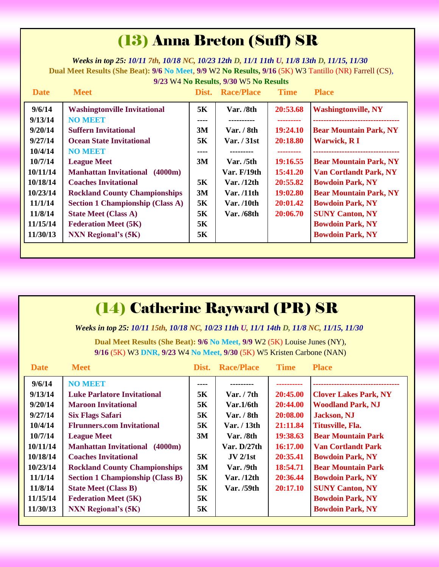## (13) Anna Breton (Suff) SR

*Weeks in top 25: 10/11 7th, 10/18 NC, 10/23 12th D, 11/1 11th U, 11/8 13th D, 11/15, 11/30* **Dual Meet Results (She Beat): 9/6 No Meet**, **9/9** W2 **No Results, 9/16** (5K) W3 Tantillo (NR) Farrell (CS), **9/23** W4 **No Results**, **9/30** W5 **No Results**

| <b>Date</b> | <b>Meet</b>                              | Dist. | <b>Race/Place</b> | <b>Time</b>     | <b>Place</b>                    |
|-------------|------------------------------------------|-------|-------------------|-----------------|---------------------------------|
| 9/6/14      | <b>Washingtonville Invitational</b>      | 5K    | Var. /8th         | 20:53.68        | <b>Washingtonville, NY</b>      |
| 9/13/14     | <b>NO MEET</b>                           | ----  | ----------        | ---------       | ------------------------------- |
| 9/20/14     | <b>Suffern Invitational</b>              | 3M    | Var. $/$ 8th      | 19:24.10        | <b>Bear Mountain Park, NY</b>   |
| 9/27/14     | <b>Ocean State Invitational</b>          | 5K    | Var. / 31st       | 20:18.80        | <b>Warwick, RI</b>              |
| 10/4/14     | <b>NO MEET</b>                           | ----  | ---------         | --------        |                                 |
| 10/7/14     | <b>League Meet</b>                       | 3M    | Var. /5th         | 19:16.55        | <b>Bear Mountain Park, NY</b>   |
| 10/11/14    | <b>Manhattan Invitational</b><br>(4000m) |       | Var. F/19th       | 15:41.20        | <b>Van Cortlandt Park, NY</b>   |
| 10/18/14    | <b>Coaches Invitational</b>              | 5K    | Var. $/12$ th     | 20:55.82        | <b>Bowdoin Park, NY</b>         |
| 10/23/14    | <b>Rockland County Championships</b>     | 3M    | Var. $/11$ th     | <b>19:02.80</b> | <b>Bear Mountain Park, NY</b>   |
| 11/1/14     | <b>Section 1 Championship (Class A)</b>  | 5K    | Var. $/10$ th     | 20:01.42        | <b>Bowdoin Park, NY</b>         |
| 11/8/14     | <b>State Meet (Class A)</b>              | 5K    | <b>Var.</b> /68th | 20:06.70        | <b>SUNY Canton, NY</b>          |
| 11/15/14    | <b>Federation Meet (5K)</b>              | 5K    |                   |                 | <b>Bowdoin Park, NY</b>         |
| 11/30/13    | <b>NXN Regional's (5K)</b>               | 5К    |                   |                 | <b>Bowdoin Park, NY</b>         |
|             |                                          |       |                   |                 |                                 |

### (14) Catherine Rayward (PR) SR

*Weeks in top 25: 10/11 15th, 10/18 NC, 10/23 11th U, 11/1 14th D, 11/8 NC, 11/15, 11/30*

**Dual Meet Results (She Beat): 9/6 No Meet, 9/9** W2 (5K) Louise Junes (NY), **9/16** (5K) W3 **DNR, 9/23** W4 **No Meet, 9/30** (5K) W5 Kristen Carbone (NAN)

| <b>Date</b> | <b>Meet</b>                              | Dist. | <b>Race/Place</b> | <b>Time</b> | <b>Place</b>                 |
|-------------|------------------------------------------|-------|-------------------|-------------|------------------------------|
| 9/6/14      | <b>NO MEET</b>                           | ----  |                   |             |                              |
| 9/13/14     | <b>Luke Parlatore Invitational</b>       | 5K    | Var. / 7th        | 20:45.00    | <b>Clover Lakes Park, NY</b> |
| 9/20/14     | <b>Maroon Invitational</b>               | 5K    | Var.1/6th         | 20:44.00    | <b>Woodland Park, NJ</b>     |
| 9/27/14     | <b>Six Flags Safari</b>                  | 5K    | Var. / 8th        | 20:08.00    | <b>Jackson</b> , NJ          |
| 10/4/14     | <b>Flrunners.com Invitational</b>        | 5K    | Var. / 13th       | 21:11.84    | Titusville, Fla.             |
| 10/7/14     | <b>League Meet</b>                       | 3M    | Var. /8th         | 19:38.63    | <b>Bear Mountain Park</b>    |
| 10/11/14    | <b>Manhattan Invitational</b><br>(4000m) |       | Var. $D/27th$     | 16:17.00    | <b>Van Cortlandt Park</b>    |
| 10/18/14    | <b>Coaches Invitational</b>              | 5K    | JV 2/1st          | 20:35.41    | <b>Bowdoin Park, NY</b>      |
| 10/23/14    | <b>Rockland County Championships</b>     | 3M    | Var. /9th         | 18:54.71    | <b>Bear Mountain Park</b>    |
| 11/1/14     | <b>Section 1 Championship (Class B)</b>  | 5K    | Var. /12th        | 20:36.44    | <b>Bowdoin Park, NY</b>      |
| 11/8/14     | <b>State Meet (Class B)</b>              | 5K    | Var. /59th        | 20:17.10    | <b>SUNY Canton, NY</b>       |
| 11/15/14    | <b>Federation Meet (5K)</b>              | 5K    |                   |             | <b>Bowdoin Park, NY</b>      |
| 11/30/13    | <b>NXN Regional's (5K)</b>               | 5K    |                   |             | <b>Bowdoin Park, NY</b>      |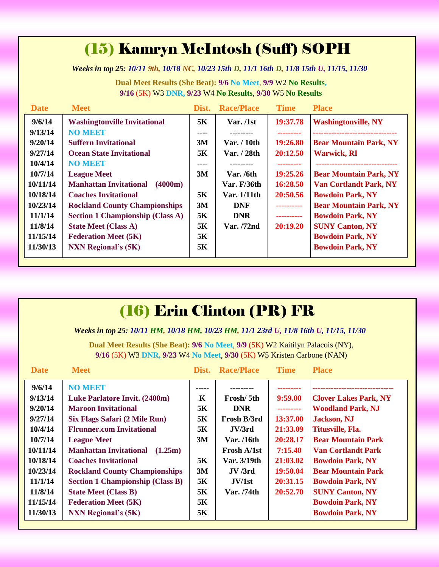# (15) Kamryn McIntosh (Suff) SOPH

*Weeks in top 25: 10/11 9th, 10/18 NC, 10/23 15th D, 11/1 16th D, 11/8 15th U, 11/15, 11/30*

**Dual Meet Results (She Beat): 9/6 No Meet**, **9/9** W2 **No Results, 9/16** (5K) W3 **DNR, 9/23** W4 **No Results**, **9/30** W5 **No Results**

| <b>Date</b> | <b>Meet</b>                              | Dist. | <b>Race/Place</b> | <b>Time</b> | <b>Place</b>                  |
|-------------|------------------------------------------|-------|-------------------|-------------|-------------------------------|
| 9/6/14      | <b>Washingtonville Invitational</b>      | 5K    | Var. /1st         | 19:37.78    | <b>Washingtonville, NY</b>    |
| 9/13/14     | <b>NO MEET</b>                           | ----  | ---------         |             |                               |
| 9/20/14     | <b>Suffern Invitational</b>              | 3M    | Var. / 10th       | 19:26.80    | <b>Bear Mountain Park, NY</b> |
| 9/27/14     | <b>Ocean State Invitational</b>          | 5Κ    | Var. / 28th       | 20:12.50    | <b>Warwick, RI</b>            |
| 10/4/14     | <b>NO MEET</b>                           | ----  |                   |             |                               |
| 10/7/14     | <b>League Meet</b>                       | 3M    | Var. /6th         | 19:25.26    | <b>Bear Mountain Park, NY</b> |
| 10/11/14    | <b>Manhattan Invitational</b><br>(4000m) |       | Var. F/36th       | 16:28.50    | <b>Van Cortlandt Park, NY</b> |
| 10/18/14    | <b>Coaches Invitational</b>              | 5K    | Var. 1/11th       | 20:50.56    | <b>Bowdoin Park, NY</b>       |
| 10/23/14    | <b>Rockland County Championships</b>     | 3M    | <b>DNF</b>        | ----------  | <b>Bear Mountain Park, NY</b> |
| 11/1/14     | <b>Section 1 Championship (Class A)</b>  | 5K    | <b>DNR</b>        | ----------  | <b>Bowdoin Park, NY</b>       |
| 11/8/14     | <b>State Meet (Class A)</b>              | 5K    | Var. /72nd        | 20:19.20    | <b>SUNY Canton, NY</b>        |
| 11/15/14    | <b>Federation Meet (5K)</b>              | 5K    |                   |             | <b>Bowdoin Park, NY</b>       |
| 11/30/13    | <b>NXN Regional's (5K)</b>               | 5K    |                   |             | <b>Bowdoin Park, NY</b>       |
|             |                                          |       |                   |             |                               |

| (16) Erin Clinton (PR) FR                                                                                                                               |                                         |       |                   |             |                              |  |  |  |  |
|---------------------------------------------------------------------------------------------------------------------------------------------------------|-----------------------------------------|-------|-------------------|-------------|------------------------------|--|--|--|--|
| Weeks in top 25: 10/11 HM, 10/18 HM, 10/23 HM, 11/1 23rd U, 11/8 16th U, 11/15, 11/30                                                                   |                                         |       |                   |             |                              |  |  |  |  |
| Dual Meet Results (She Beat): 9/6 No Meet, 9/9 (5K) W2 Kaitilyn Palacois (NY),<br>9/16 (5K) W3 DNR, 9/23 W4 No Meet, 9/30 (5K) W5 Kristen Carbone (NAN) |                                         |       |                   |             |                              |  |  |  |  |
| <b>Date</b>                                                                                                                                             | <b>Meet</b>                             | Dist. | <b>Race/Place</b> | <b>Time</b> | <b>Place</b>                 |  |  |  |  |
| 9/6/14                                                                                                                                                  | <b>NO MEET</b>                          |       |                   | ---------   |                              |  |  |  |  |
| 9/13/14                                                                                                                                                 | <b>Luke Parlatore Invit. (2400m)</b>    | K     | Frosh/5th         | 9:59.00     | <b>Clover Lakes Park, NY</b> |  |  |  |  |
| 9/20/14                                                                                                                                                 | <b>Maroon Invitational</b>              | 5K    | <b>DNR</b>        | ---------   | <b>Woodland Park, NJ</b>     |  |  |  |  |
| 9/27/14                                                                                                                                                 | Six Flags Safari (2 Mile Run)           | 5K    | Frosh B/3rd       | 13:37.00    | <b>Jackson</b> , NJ          |  |  |  |  |
| 10/4/14                                                                                                                                                 | <b>Flrunner.com Invitational</b>        | 5K    | JV/3rd            | 21:33.09    | Titusville, Fla.             |  |  |  |  |
| 10/7/14                                                                                                                                                 | <b>League Meet</b>                      | 3M    | Var. /16th        | 20:28.17    | <b>Bear Mountain Park</b>    |  |  |  |  |
| 10/11/14                                                                                                                                                | <b>Manhattan Invitational</b> (1.25m)   |       | Frosh A/1st       | 7:15.40     | <b>Van Cortlandt Park</b>    |  |  |  |  |
| 10/18/14                                                                                                                                                | <b>Coaches Invitational</b>             | 5K    | Var. 3/19th       | 21:03.02    | <b>Bowdoin Park, NY</b>      |  |  |  |  |
| 10/23/14                                                                                                                                                | <b>Rockland County Championships</b>    | 3M    | JV/3rd            | 19:50.04    | <b>Bear Mountain Park</b>    |  |  |  |  |
| 11/1/14                                                                                                                                                 | <b>Section 1 Championship (Class B)</b> | 5K    | JV/1st            | 20:31.15    | <b>Bowdoin Park, NY</b>      |  |  |  |  |
| 11/8/14                                                                                                                                                 | <b>State Meet (Class B)</b>             | 5K    | Var. /74th        | 20:52.70    | <b>SUNY Canton, NY</b>       |  |  |  |  |
| 11/15/14                                                                                                                                                | <b>Federation Meet (5K)</b>             | 5K    |                   |             | <b>Bowdoin Park, NY</b>      |  |  |  |  |
| 11/30/13                                                                                                                                                | <b>NXN Regional's (5K)</b>              | 5K    |                   |             | <b>Bowdoin Park, NY</b>      |  |  |  |  |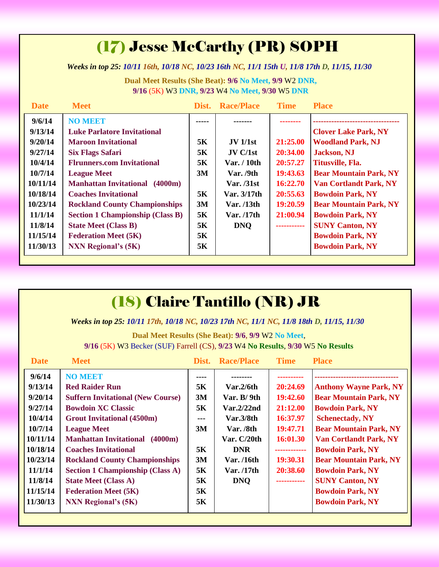## (17) Jesse McCarthy (PR) SOPH

*Weeks in top 25: 10/11 16th, 10/18 NC, 10/23 16th NC, 11/1 15th U, 11/8 17th D, 11/15, 11/30*

**Dual Meet Results (She Beat): 9/6 No Meet, 9/9** W2 **DNR, 9/16** (5K) W3 **DNR, 9/23** W4 **No Meet, 9/30** W5 **DNR**

| <b>Date</b> | <b>Meet</b>                              | Dist. | <b>Race/Place</b> | <b>Time</b> | <b>Place</b>                  |
|-------------|------------------------------------------|-------|-------------------|-------------|-------------------------------|
| 9/6/14      | <b>NO MEET</b>                           |       |                   |             |                               |
| 9/13/14     | <b>Luke Parlatore Invitational</b>       |       |                   |             | <b>Clover Lake Park, NY</b>   |
| 9/20/14     | <b>Maroon Invitational</b>               | 5K    | $JV$ 1/1st        | 21:25.00    | <b>Woodland Park, NJ</b>      |
| 9/27/14     | <b>Six Flags Safari</b>                  | 5K    | JV C/1st          | 20:34.00    | <b>Jackson</b> , NJ           |
| 10/4/14     | <b>Flrunners.com Invitational</b>        | 5K    | Var. / 10th       | 20:57.27    | Titusville, Fla.              |
| 10/7/14     | <b>League Meet</b>                       | 3M    | Var. /9th         | 19:43.63    | <b>Bear Mountain Park, NY</b> |
| 10/11/14    | <b>Manhattan Invitational</b><br>(4000m) |       | <b>Var.</b> /31st | 16:22.70    | <b>Van Cortlandt Park, NY</b> |
| 10/18/14    | <b>Coaches Invitational</b>              | 5K    | Var. 3/17th       | 20:55.63    | <b>Bowdoin Park, NY</b>       |
| 10/23/14    | <b>Rockland County Championships</b>     | 3M    | Var. / 13th       | 19:20.59    | <b>Bear Mountain Park, NY</b> |
| 11/1/14     | <b>Section 1 Championship (Class B)</b>  | 5K    | Var. /17th        | 21:00.94    | <b>Bowdoin Park, NY</b>       |
| 11/8/14     | <b>State Meet (Class B)</b>              | 5K    | <b>DNQ</b>        | ----------- | <b>SUNY Canton, NY</b>        |
| 11/15/14    | <b>Federation Meet (5K)</b>              | 5K    |                   |             | <b>Bowdoin Park, NY</b>       |
| 11/30/13    | <b>NXN</b> Regional's (5K)               | 5K    |                   |             | <b>Bowdoin Park, NY</b>       |

### (18) Claire Tantillo (NR) JR

*Weeks in top 25: 10/11 17th, 10/18 NC, 10/23 17th NC, 11/1 NC, 11/8 18th D, 11/15, 11/30*

**Dual Meet Results (She Beat): 9/6**, **9/9** W2 **No Meet**, **9/16** (5K) W3 Becker (SUF) Farrell (CS), **9/23** W4 **No Results**, **9/30** W5 **No Results**

| <b>Date</b> | <b>Meet</b>                              | Dist. | <b>Race/Place</b>         | <b>Time</b>  | <b>Place</b>                  |
|-------------|------------------------------------------|-------|---------------------------|--------------|-------------------------------|
| 9/6/14      | <b>NO MEET</b>                           | ----  |                           |              |                               |
| 9/13/14     | <b>Red Raider Run</b>                    | 5K    | $\text{Var}.2/6\text{th}$ | 20:24.69     | <b>Anthony Wayne Park, NY</b> |
| 9/20/14     | <b>Suffern Invitational (New Course)</b> | 3M    | Var. $B/9th$              | 19:42.60     | <b>Bear Mountain Park, NY</b> |
| 9/27/14     | <b>Bowdoin XC Classic</b>                | 5K    | Var.2/22nd                | 21:12.00     | <b>Bowdoin Park, NY</b>       |
| 10/4/14     | <b>Grout Invitational (4500m)</b>        | ---   | Var.3/8th                 | 16:37.97     | <b>Schenectady, NY</b>        |
| 10/7/14     | <b>League Meet</b>                       | 3M    | Var. /8th                 | 19:47.71     | <b>Bear Mountain Park, NY</b> |
| 10/11/14    | <b>Manhattan Invitational</b><br>(4000m) |       | Var. C/20th               | 16:01.30     | <b>Van Cortlandt Park, NY</b> |
| 10/18/14    | <b>Coaches Invitational</b>              | 5K    | <b>DNR</b>                | ------------ | <b>Bowdoin Park, NY</b>       |
| 10/23/14    | <b>Rockland County Championships</b>     | 3M    | Var. /16th                | 19:30.31     | <b>Bear Mountain Park, NY</b> |
| 11/1/14     | <b>Section 1 Championship (Class A)</b>  | 5K    | Var. /17th                | 20:38.60     | <b>Bowdoin Park, NY</b>       |
| 11/8/14     | <b>State Meet (Class A)</b>              | 5K    | <b>DNQ</b>                | .            | <b>SUNY Canton, NY</b>        |
| 11/15/14    | <b>Federation Meet (5K)</b>              | 5K    |                           |              | <b>Bowdoin Park, NY</b>       |
| 11/30/13    | <b>NXN Regional's (5K)</b>               | 5K    |                           |              | <b>Bowdoin Park, NY</b>       |
|             |                                          |       |                           |              |                               |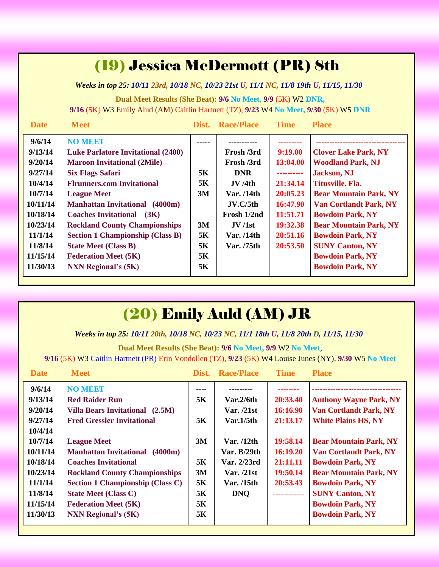| (19) Jessica McDermott (PR) 8th                                                                                                                      |                                                                                                                                                                                                                                                                                                                                                                                                                                                     |                                              |                                                                                                                                 |                                                                                                                       |                                                                                                                                                                                                                                                                                                                                                    |  |  |  |  |
|------------------------------------------------------------------------------------------------------------------------------------------------------|-----------------------------------------------------------------------------------------------------------------------------------------------------------------------------------------------------------------------------------------------------------------------------------------------------------------------------------------------------------------------------------------------------------------------------------------------------|----------------------------------------------|---------------------------------------------------------------------------------------------------------------------------------|-----------------------------------------------------------------------------------------------------------------------|----------------------------------------------------------------------------------------------------------------------------------------------------------------------------------------------------------------------------------------------------------------------------------------------------------------------------------------------------|--|--|--|--|
| Weeks in top 25: 10/11 23rd, 10/18 NC, 10/23 21st U, 11/1 NC, 11/8 19th U, 11/15, 11/30                                                              |                                                                                                                                                                                                                                                                                                                                                                                                                                                     |                                              |                                                                                                                                 |                                                                                                                       |                                                                                                                                                                                                                                                                                                                                                    |  |  |  |  |
| Dual Meet Results (She Beat): 9/6 No Meet, 9/9 (5K) W2 DNR,<br>9/16 (5K) W3 Emily Alud (AM) Caitlin Hartnett (TZ), 9/23 W4 No Meet, 9/30 (5K) W5 DNR |                                                                                                                                                                                                                                                                                                                                                                                                                                                     |                                              |                                                                                                                                 |                                                                                                                       |                                                                                                                                                                                                                                                                                                                                                    |  |  |  |  |
| <b>Date</b>                                                                                                                                          | <b>Meet</b>                                                                                                                                                                                                                                                                                                                                                                                                                                         |                                              | <b>Dist.</b> Race/Place                                                                                                         | <b>Time</b>                                                                                                           | <b>Place</b>                                                                                                                                                                                                                                                                                                                                       |  |  |  |  |
| 9/6/14<br>9/13/14<br>9/20/14<br>9/27/14<br>10/4/14<br>10/7/14<br>10/11/14<br>10/18/14<br>10/23/14<br>11/1/14<br>11/8/14<br>11/15/14<br>11/30/13      | <b>NO MEET</b><br><b>Luke Parlatore Invitational (2400)</b><br><b>Maroon Invitational (2Mile)</b><br><b>Six Flags Safari</b><br><b>Flrunners.com Invitational</b><br><b>League Meet</b><br><b>Manhattan Invitational</b> (4000m)<br><b>Coaches Invitational</b> (3K)<br><b>Rockland County Championships</b><br><b>Section 1 Championship (Class B)</b><br><b>State Meet (Class B)</b><br><b>Federation Meet (5K)</b><br><b>NXN Regional's (5K)</b> | 5K<br>5K<br>3M<br>3M<br>5K<br>5K<br>5K<br>5K | Frosh /3rd<br>Frosh /3rd<br><b>DNR</b><br>JV/4th<br>Var. /14th<br>JV.C/5th<br>Frosh 1/2nd<br>JV/1st<br>Var. /14th<br>Var. /75th | 9:19.00<br>13:04.00<br>----------<br>21:34.14<br>20:05.23<br>16:47.90<br>11:51.71<br>19:32.38<br>20:51.16<br>20:53.50 | <b>Clover Lake Park, NY</b><br><b>Woodland Park, NJ</b><br><b>Jackson</b> , NJ<br><b>Titusville, Fla.</b><br><b>Bear Mountain Park, NY</b><br><b>Van Cortlandt Park, NY</b><br><b>Bowdoin Park, NY</b><br><b>Bear Mountain Park, NY</b><br><b>Bowdoin Park, NY</b><br><b>SUNY Canton, NY</b><br><b>Bowdoin Park, NY</b><br><b>Bowdoin Park, NY</b> |  |  |  |  |

# (20) Emily Auld (AM) JR

*Weeks in top 25: 10/11 20th, 10/18 NC, 10/23 NC, 11/1 18th U, 11/8 20th D, 11/15, 11/30*

**Dual Meet Results (She Beat): 9/6 No Meet, 9/9** W2 **No Meet**,

**9/16** (5K) W3 Caitlin Hartnett (PR) Erin Vondollen (TZ), **9/23** (5K) W4 Louise Junes (NY), **9/30** W5 **No Meet**

| <b>Date</b>                                                                                                                         | <b>Meet</b>                                                                                                                                                                                                                                                                                                                                                       | Dist.                                                | <b>Race/Place</b>                                                                                                                        | <b>Time</b>                                                                                                  | <b>Place</b>                                                                                                                                                                                                                                                                                               |
|-------------------------------------------------------------------------------------------------------------------------------------|-------------------------------------------------------------------------------------------------------------------------------------------------------------------------------------------------------------------------------------------------------------------------------------------------------------------------------------------------------------------|------------------------------------------------------|------------------------------------------------------------------------------------------------------------------------------------------|--------------------------------------------------------------------------------------------------------------|------------------------------------------------------------------------------------------------------------------------------------------------------------------------------------------------------------------------------------------------------------------------------------------------------------|
| 9/6/14<br>9/13/14<br>9/20/14<br>9/27/14<br>10/4/14<br>10/7/14<br>10/11/14<br>10/18/14<br>10/23/14<br>11/1/14<br>11/8/14<br>11/15/14 | <b>NO MEET</b><br><b>Red Raider Run</b><br>Villa Bears Invitational (2.5M)<br><b>Fred Gressler Invitational</b><br><b>League Meet</b><br><b>Manhattan Invitational</b><br>(4000m)<br><b>Coaches Invitational</b><br><b>Rockland County Championships</b><br><b>Section 1 Championship (Class C)</b><br><b>State Meet (Class C)</b><br><b>Federation Meet (5K)</b> | ----<br>5K<br>5K<br>3M<br>5K<br>3M<br>5K<br>5K<br>5K | Var.2/6th<br>Var. $/21st$<br>Var.1/5 <sup>th</sup><br>Var. /12th<br>Var. B/29th<br>Var. 2/23rd<br>Var. /21st<br>Var. /15th<br><b>DNQ</b> | 20:33.40<br>16:16.90<br>21:13.17<br>19:58.14<br>16:19.20<br>21:11.11<br>19:50.14<br>20:53.43<br>------------ | <b>Anthony Wayne Park, NY</b><br><b>Van Cortlandt Park, NY</b><br><b>White Plains HS, NY</b><br><b>Bear Mountain Park, NY</b><br><b>Van Cortlandt Park, NY</b><br><b>Bowdoin Park, NY</b><br><b>Bear Mountain Park, NY</b><br><b>Bowdoin Park, NY</b><br><b>SUNY Canton, NY</b><br><b>Bowdoin Park, NY</b> |
| 11/30/13                                                                                                                            | <b>NXN Regional's (5K)</b>                                                                                                                                                                                                                                                                                                                                        | 5K                                                   |                                                                                                                                          |                                                                                                              | <b>Bowdoin Park, NY</b>                                                                                                                                                                                                                                                                                    |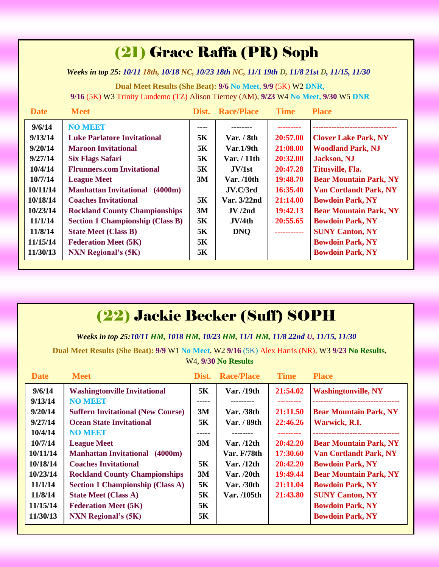# (21) Grace Raffa (PR) Soph

*Weeks in top 25: 10/11 18th, 10/18 NC, 10/23 18th NC, 11/1 19th D, 11/8 21st D, 11/15, 11/30*

**Dual Meet Results (She Beat): 9/6 No Meet, 9/9** (5K) W2 **DNR, 9/16** (5K) W3 Trinity Lundemo (TZ) Alison Tierney (AM), **9/23** W4 **No Meet, 9/30** W5 **DNR**

| <b>Date</b> | <b>Meet</b>                              | Dist. | <b>Race/Place</b> | <b>Time</b> | <b>Place</b>                  |
|-------------|------------------------------------------|-------|-------------------|-------------|-------------------------------|
| 9/6/14      | <b>NO MEET</b>                           | ----  |                   |             |                               |
| 9/13/14     | <b>Luke Parlatore Invitational</b>       | 5K    | Var. / 8th        | 20:57.00    | <b>Clover Lake Park, NY</b>   |
| 9/20/14     | <b>Maroon Invitational</b>               | 5K    | Var.1/9th         | 21:08.00    | <b>Woodland Park, NJ</b>      |
| 9/27/14     | <b>Six Flags Safari</b>                  | 5K    | Var. / 11th       | 20:32.00    | <b>Jackson</b> , NJ           |
| 10/4/14     | <b>Flrunners.com Invitational</b>        | 5K    | JV/1st            | 20:47.28    | Titusville, Fla.              |
| 10/7/14     | <b>League Meet</b>                       | 3M    | Var. /10th        | 19:48.70    | <b>Bear Mountain Park, NY</b> |
| 10/11/14    | <b>Manhattan Invitational</b><br>(4000m) |       | JV.C/3rd          | 16:35.40    | <b>Van Cortlandt Park, NY</b> |
| 10/18/14    | <b>Coaches Invitational</b>              | 5K    | Var. 3/22nd       | 21:14.00    | <b>Bowdoin Park, NY</b>       |
| 10/23/14    | <b>Rockland County Championships</b>     | 3M    | JV/2nd            | 19:42.13    | <b>Bear Mountain Park, NY</b> |
| 11/1/14     | <b>Section 1 Championship (Class B)</b>  | 5K    | JV/4th            | 20:55.65    | <b>Bowdoin Park, NY</b>       |
| 11/8/14     | <b>State Meet (Class B)</b>              | 5K    | <b>DNQ</b>        | ----------- | <b>SUNY Canton, NY</b>        |
| 11/15/14    | <b>Federation Meet (5K)</b>              | 5K    |                   |             | <b>Bowdoin Park, NY</b>       |
| 11/30/13    | <b>NXN Regional's (5K)</b>               | 5K    |                   |             | <b>Bowdoin Park, NY</b>       |

## (22) Jackie Becker (Suff) SOPH

*Weeks in top 25:10/11 HM, 1018 HM, 10/23 HM, 11/1 HM, 11/8 22nd U, 11/15, 11/30*

**Dual Meet Results (She Beat): 9/9** W1 **No Meet**, W2 **9/16** (5K) Alex Harris (NR), W3 **9/23 No Results**, W4, **9/30 No Results**

| <b>Date</b> | <b>Meet</b>                              | Dist. | <b>Race/Place</b>  | <b>Time</b> | <b>Place</b>                   |
|-------------|------------------------------------------|-------|--------------------|-------------|--------------------------------|
| 9/6/14      | <b>Washingtonville Invitational</b>      | 5K    | Var. /19th         | 21:54.02    | <b>Washingtonville, NY</b>     |
| 9/13/14     | <b>NO MBET</b>                           | ----- |                    |             | ------------------------------ |
| 9/20/14     | <b>Suffern Invitational (New Course)</b> | 3M    | Var. /38th         | 21:11.50    | <b>Bear Mountain Park, NY</b>  |
| 9/27/14     | <b>Ocean State Invitational</b>          | 5K    | Var. / 89th        | 22:46.26    | Warwick, R.I.                  |
| 10/4/14     | <b>NO MEET</b>                           | ----- | --------           | ---------   |                                |
| 10/7/14     | <b>League Meet</b>                       | 3M    | Var. $/12$ th      | 20:42.20    | <b>Bear Mountain Park, NY</b>  |
| 10/11/14    | <b>Manhattan Invitational</b><br>(4000m) |       | <b>Var. F/78th</b> | 17:30.60    | <b>Van Cortlandt Park, NY</b>  |
| 10/18/14    | <b>Coaches Invitational</b>              | 5K    | Var. $/12$ th      | 20:42.20    | <b>Bowdoin Park, NY</b>        |
| 10/23/14    | <b>Rockland County Championships</b>     | 3M    | Var. /20th         | 19:49.44    | <b>Bear Mountain Park, NY</b>  |
| 11/1/14     | <b>Section 1 Championship (Class A)</b>  | 5K    | Var. /30th         | 21:11.04    | <b>Bowdoin Park, NY</b>        |
| 11/8/14     | <b>State Meet (Class A)</b>              | 5K    | Var. /105th        | 21:43.80    | <b>SUNY Canton, NY</b>         |
| 11/15/14    | <b>Federation Meet (5K)</b>              | 5K    |                    |             | <b>Bowdoin Park, NY</b>        |
| 11/30/13    | <b>NXN Regional's (5K)</b>               | 5K    |                    |             | <b>Bowdoin Park, NY</b>        |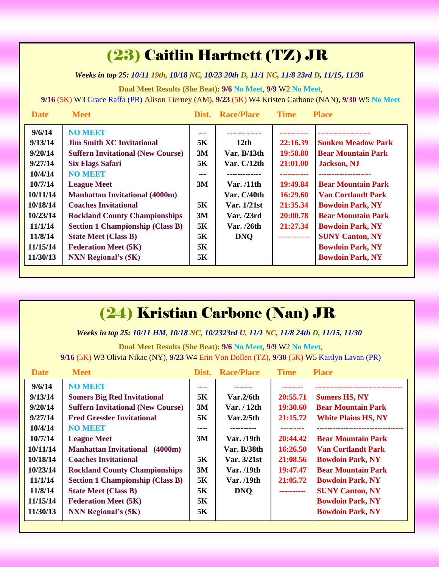### (23) Caitlin Hartnett (TZ) JR

*Weeks in top 25: 10/11 19th, 10/18 NC, 10/23 20th D, 11/1 NC, 11/8 23rd D, 11/15, 11/30*

**Dual Meet Results (She Beat): 9/6 No Meet**, **9/9** W2 **No Meet**,

**9/16** (5K) W3 Grace Raffa (PR) Alison Tierney (AM), **9/23** (5K) W4 Kristen Carbone (NAN), **9/30** W5 **No Meet**

| <b>Date</b> | <b>Meet</b>                              |     | Dist. Race/Place | <b>Time</b>  | <b>Place</b>              |
|-------------|------------------------------------------|-----|------------------|--------------|---------------------------|
| 9/6/14      | <b>NO MEET</b>                           |     |                  |              |                           |
| 9/13/14     | <b>Jim Smith XC Invitational</b>         | 5K  | 12th             | 22:16.39     | <b>Sunken Meadow Park</b> |
| 9/20/14     | <b>Suffern Invitational (New Course)</b> | 3M  | Var. B/13th      | 19:58.80     | <b>Bear Mountain Park</b> |
| 9/27/14     | <b>Six Flags Safari</b>                  | 5K  | Var. $C/12th$    | 21:01.00     | <b>Jackson</b> , NJ       |
| 10/4/14     | <b>NO MEET</b>                           | --- |                  |              |                           |
| 10/7/14     | <b>League Meet</b>                       | 3M  | Var. /11th       | 19:49.84     | <b>Bear Mountain Park</b> |
| 10/11/14    | <b>Manhattan Invitational (4000m)</b>    |     | Var. C/40th      | 16:29.60     | <b>Van Cortlandt Park</b> |
| 10/18/14    | <b>Coaches Invitational</b>              | 5K  | Var. 1/21st      | 21:35.34     | <b>Bowdoin Park, NY</b>   |
| 10/23/14    | <b>Rockland County Championships</b>     | 3M  | Var. /23rd       | 20:00.78     | <b>Bear Mountain Park</b> |
| 11/1/14     | <b>Section 1 Championship (Class B)</b>  | 5K  | Var. /26th       | 21:27.34     | <b>Bowdoin Park, NY</b>   |
| 11/8/14     | <b>State Meet (Class B)</b>              | 5K  | <b>DNO</b>       | ------------ | <b>SUNY Canton, NY</b>    |
| 11/15/14    | <b>Federation Meet (5K)</b>              | 5K  |                  |              | <b>Bowdoin Park, NY</b>   |
| 11/30/13    | <b>NXN Regional's (5K)</b>               | 5K  |                  |              | <b>Bowdoin Park, NY</b>   |

### (24) Kristian Carbone (Nan) JR

*Weeks in top 25: 10/11 HM, 10/18 NC, 10/2323rd U, 11/1 NC, 11/8 24th D, 11/15, 11/30*

**Dual Meet Results (She Beat): 9/6 No Meet**, **9/9** W2 **No Meet**,

**9/16** (5K) W3 Olivia Nikac (NY), **9/23** W4 Erin Von Dollen (TZ), **9/30** (5K) W5 Kaitlyn Lavan (PR)

| <b>Date</b> | <b>Meet</b>                              | Dist. | <b>Race/Place</b>         | <b>Time</b> | <b>Place</b>                 |
|-------------|------------------------------------------|-------|---------------------------|-------------|------------------------------|
| 9/6/14      | <b>NO MEET</b>                           | ----  |                           |             |                              |
| 9/13/14     | <b>Somers Big Red Invitational</b>       | 5K    | $\text{Var}.2/6\text{th}$ | 20:55.71    | <b>Somers HS, NY</b>         |
| 9/20/14     | <b>Suffern Invitational (New Course)</b> | 3M    | Var. / 12th               | 19:30.60    | <b>Bear Mountain Park</b>    |
| 9/27/14     | <b>Fred Gressler Invitational</b>        | 5K    | $\text{Var}.2/5\text{th}$ | 21:15.72    | <b>White Plains HS, NY</b>   |
| 10/4/14     | <b>NO MEET</b>                           | ----  | ----------                | ---------   | ---------------------------- |
| 10/7/14     | <b>League Meet</b>                       | 3M    | Var. /19th                | 20:44.42    | <b>Bear Mountain Park</b>    |
| 10/11/14    | <b>Manhattan Invitational</b><br>(4000m) |       | Var. B/38th               | 16:26.50    | <b>Van Cortlandt Park</b>    |
| 10/18/14    | <b>Coaches Invitational</b>              | 5K    | Var. 3/21st               | 21:08.56    | <b>Bowdoin Park, NY</b>      |
| 10/23/14    | <b>Rockland County Championships</b>     | 3M    | Var. /19th                | 19:47.47    | <b>Bear Mountain Park</b>    |
| 11/1/14     | <b>Section 1 Championship (Class B)</b>  | 5K    | Var. /19th                | 21:05.72    | <b>Bowdoin Park, NY</b>      |
| 11/8/14     | <b>State Meet (Class B)</b>              | 5K    | <b>DNQ</b>                |             | <b>SUNY Canton, NY</b>       |
| 11/15/14    | <b>Federation Meet (5K)</b>              | 5K    |                           |             | <b>Bowdoin Park, NY</b>      |
| 11/30/13    | <b>NXN Regional's (5K)</b>               | 5K    |                           |             | <b>Bowdoin Park, NY</b>      |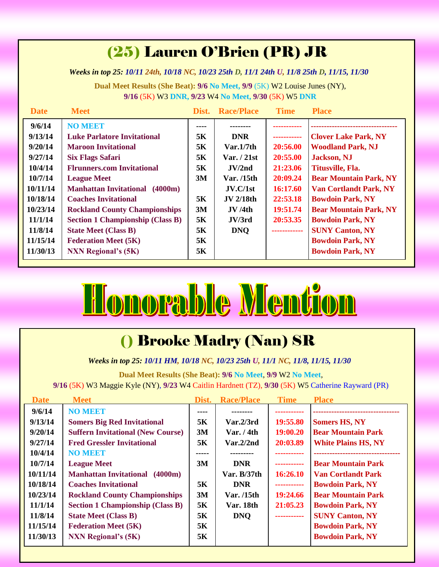# (25) Lauren O'Brien (PR) JR

*Weeks in top 25: 10/11 24th, 10/18 NC, 10/23 25th D, 11/1 24th U, 11/8 25th D, 11/15, 11/30*

**Dual Meet Results (She Beat): 9/6 No Meet, 9/9** (5K) W2 Louise Junes (NY), **9/16** (5K) W3 **DNR, 9/23** W4 **No Meet, 9/30** (5K) W5 **DNR**

| <b>Date</b> | <b>Meet</b>                              | Dist. | <b>Race/Place</b>     | <b>Time</b>  | <b>Place</b>                  |
|-------------|------------------------------------------|-------|-----------------------|--------------|-------------------------------|
| 9/6/14      | <b>NO MEET</b>                           | ----  |                       |              |                               |
| 9/13/14     | <b>Luke Parlatore Invitational</b>       | 5K    | <b>DNR</b>            | -----------  | <b>Clover Lake Park, NY</b>   |
| 9/20/14     | <b>Maroon Invitational</b>               | 5K    | Var.1/7 <sub>th</sub> | 20:56.00     | <b>Woodland Park, NJ</b>      |
| 9/27/14     | <b>Six Flags Safari</b>                  | 5K    | Var. $/21st$          | 20:55.00     | <b>Jackson</b> , NJ           |
| 10/4/14     | <b>Flrunners.com Invitational</b>        | 5K    | JV/2nd                | 21:23.06     | Titusville, Fla.              |
| 10/7/14     | <b>League Meet</b>                       | 3M    | Var. /15th            | 20:09.24     | <b>Bear Mountain Park, NY</b> |
| 10/11/14    | <b>Manhattan Invitational</b><br>(4000m) |       | JV.C/1st              | 16:17.60     | <b>Van Cortlandt Park, NY</b> |
| 10/18/14    | <b>Coaches Invitational</b>              | 5K    | <b>JV</b> 2/18th      | 22:53.18     | <b>Bowdoin Park, NY</b>       |
| 10/23/14    | <b>Rockland County Championships</b>     | 3M    | JV/4th                | 19:51.74     | <b>Bear Mountain Park, NY</b> |
| 11/1/14     | <b>Section 1 Championship (Class B)</b>  | 5K    | JV/3rd                | 20:53.35     | <b>Bowdoin Park, NY</b>       |
| 11/8/14     | <b>State Meet (Class B)</b>              | 5K    | <b>DNO</b>            | ------------ | <b>SUNY Canton, NY</b>        |
| 11/15/14    | <b>Federation Meet (5K)</b>              | 5K    |                       |              | <b>Bowdoin Park, NY</b>       |
| 11/30/13    | <b>NXN Regional's (5K)</b>               | 5K    |                       |              | <b>Bowdoin Park, NY</b>       |



# () Brooke Madry (Nan) SR

*Weeks in top 25: 10/11 HM, 10/18 NC, 10/23 25th U, 11/1 NC, 11/8, 11/15, 11/30*

**Dual Meet Results (She Beat): 9/6 No Meet**, **9/9** W2 **No Meet**, **9/16** (5K) W3 Maggie Kyle (NY), **9/23** W4 Caitlin Hardnett (TZ), **9/30** (5K) W5 Catherine Rayward (PR)

| <b>Date</b> | <b>Meet</b>                              | Dist. | <b>Race/Place</b> | <b>Time</b> | <b>Place</b>               |
|-------------|------------------------------------------|-------|-------------------|-------------|----------------------------|
| 9/6/14      | <b>NO MEET</b>                           | ----  |                   |             |                            |
| 9/13/14     | <b>Somers Big Red Invitational</b>       | 5K    | Var.2/3rd         | 19:55.80    | <b>Somers HS, NY</b>       |
| 9/20/14     | <b>Suffern Invitational (New Course)</b> | 3M    | Var. $/4th$       | 19:00.20    | <b>Bear Mountain Park</b>  |
| 9/27/14     | <b>Fred Gressler Invitational</b>        | 5K    | Var.2/2nd         | 20:03.89    | <b>White Plains HS, NY</b> |
| 10/4/14     | <b>NO MEET</b>                           | ----- |                   |             |                            |
| 10/7/14     | <b>League Meet</b>                       | 3M    | <b>DNR</b>        | ----------- | <b>Bear Mountain Park</b>  |
| 10/11/14    | <b>Manhattan Invitational</b><br>(4000m) |       | Var. $B/37th$     | 16:26.10    | <b>Van Cortlandt Park</b>  |
| 10/18/14    | <b>Coaches Invitational</b>              | 5K    | <b>DNR</b>        | ----------- | <b>Bowdoin Park, NY</b>    |
| 10/23/14    | <b>Rockland County Championships</b>     | 3M    | Var. /15th        | 19:24.66    | <b>Bear Mountain Park</b>  |
| 11/1/14     | <b>Section 1 Championship (Class B)</b>  | 5K    | Var. 18th         | 21:05.23    | <b>Bowdoin Park, NY</b>    |
| 11/8/14     | <b>State Meet (Class B)</b>              | 5К    | <b>DNQ</b>        | ----------- | <b>SUNY Canton, NY</b>     |
| 11/15/14    | <b>Federation Meet (5K)</b>              | 5Κ    |                   |             | <b>Bowdoin Park, NY</b>    |
| 11/30/13    | <b>NXN Regional's (5K)</b>               | 5К    |                   |             | <b>Bowdoin Park, NY</b>    |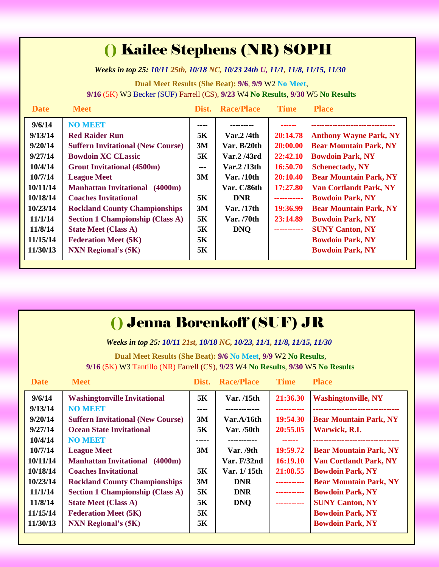### () Kailee Stephens (NR) SOPH

*Weeks in top 25: 10/11 25th, 10/18 NC, 10/23 24th U, 11/1, 11/8, 11/15, 11/30*

**Dual Meet Results (She Beat): 9/6**, **9/9** W2 **No Meet**, **9/16** (5K) W3 Becker (SUF) Farrell (CS), **9/23** W4 **No Results**, **9/30** W5 **No Results**

| <b>Date</b> | <b>Meet</b>                              | Dist.                | <b>Race/Place</b> | <b>Time</b> | <b>Place</b>                  |
|-------------|------------------------------------------|----------------------|-------------------|-------------|-------------------------------|
| 9/6/14      | <b>NO MEET</b>                           | ----                 |                   |             |                               |
| 9/13/14     | <b>Red Raider Run</b>                    | 5K                   | Var.2 / 4th       | 20:14.78    | <b>Anthony Wayne Park, NY</b> |
| 9/20/14     | <b>Suffern Invitational (New Course)</b> | 3M                   | Var. $B/20th$     | 20:00.00    | <b>Bear Mountain Park, NY</b> |
| 9/27/14     | <b>Bowdoin XC CLassic</b>                | 5K                   | Var.2 /43rd       | 22:42.10    | <b>Bowdoin Park, NY</b>       |
| 10/4/14     | <b>Grout Invitational (4500m)</b>        | $\sim$ $\sim$ $\sim$ | Var. $2/13$ th    | 16:50.70    | <b>Schenectady, NY</b>        |
| 10/7/14     | <b>League Meet</b>                       | 3M                   | Var. $/10$ th     | 20:10.40    | <b>Bear Mountain Park, NY</b> |
| 10/11/14    | <b>Manhattan Invitational</b><br>(4000m) |                      | Var. C/86th       | 17:27.80    | <b>Van Cortlandt Park, NY</b> |
| 10/18/14    | <b>Coaches Invitational</b>              | 5K                   | <b>DNR</b>        | ----------- | <b>Bowdoin Park, NY</b>       |
| 10/23/14    | <b>Rockland County Championships</b>     | 3M                   | Var. /17th        | 19:36.99    | <b>Bear Mountain Park, NY</b> |
| 11/1/14     | <b>Section 1 Championship (Class A)</b>  | 5K                   | Var. /70th        | 23:14.89    | <b>Bowdoin Park, NY</b>       |
| 11/8/14     | <b>State Meet (Class A)</b>              | 5K                   | <b>DNQ</b>        | ----------- | <b>SUNY Canton, NY</b>        |
| 11/15/14    | <b>Federation Meet (5K)</b>              | 5K                   |                   |             | <b>Bowdoin Park, NY</b>       |
| 11/30/13    | <b>NXN Regional's (5K)</b>               | 5K                   |                   |             | <b>Bowdoin Park, NY</b>       |
|             |                                          |                      |                   |             |                               |

### () Jenna Borenkoff (SUF) JR

*Weeks in top 25: 10/11 21st, 10/18 NC, 10/23, 11/1, 11/8, 11/15, 11/30*

**Dual Meet Results (She Beat): 9/6 No Meet**, **9/9** W2 **No Results**, **9/16** (5K) W3 Tantillo (NR) Farrell (CS), **9/23** W4 **No Results**, **9/30** W5 **No Results**

| <b>Date</b> | <b>Meet</b>                              | Dist. | <b>Race/Place</b> | <b>Time</b> | <b>Place</b>                  |
|-------------|------------------------------------------|-------|-------------------|-------------|-------------------------------|
| 9/6/14      | <b>Washingtonville Invitational</b>      | 5K    | Var. /15th        | 21:36.30    | <b>Washingtonville, NY</b>    |
| 9/13/14     | <b>NO MEET</b>                           | ----  | -------------     | ----------- |                               |
| 9/20/14     | <b>Suffern Invitational (New Course)</b> | 3M    | Var.A/16th        | 19:54.30    | <b>Bear Mountain Park, NY</b> |
| 9/27/14     | <b>Ocean State Invitational</b>          | 5K    | Var. $/50$ th     | 20:55.05    | Warwick, R.I.                 |
| 10/4/14     | <b>NO MEET</b>                           | ----- | -----------       | ------      |                               |
| 10/7/14     | <b>League Meet</b>                       | 3M    | Var. $/9th$       | 19:59.72    | <b>Bear Mountain Park, NY</b> |
| 10/11/14    | <b>Manhattan Invitational</b><br>(4000m) |       | Var. $F/32nd$     | 16:19.10    | <b>Van Cortlandt Park, NY</b> |
| 10/18/14    | <b>Coaches Invitational</b>              | 5K    | Var. 1/15th       | 21:08.55    | <b>Bowdoin Park, NY</b>       |
| 10/23/14    | <b>Rockland County Championships</b>     | 3M    | <b>DNR</b>        | ----------- | <b>Bear Mountain Park, NY</b> |
| 11/1/14     | <b>Section 1 Championship (Class A)</b>  | 5K    | <b>DNR</b>        | ----------- | <b>Bowdoin Park, NY</b>       |
| 11/8/14     | <b>State Meet (Class A)</b>              | 5K    | <b>DNQ</b>        | ----------- | <b>SUNY Canton, NY</b>        |
| 11/15/14    | <b>Federation Meet (5K)</b>              | 5K    |                   |             | <b>Bowdoin Park, NY</b>       |
| 11/30/13    | <b>NXN Regional's (5K)</b>               | 5K    |                   |             | <b>Bowdoin Park, NY</b>       |
|             |                                          |       |                   |             |                               |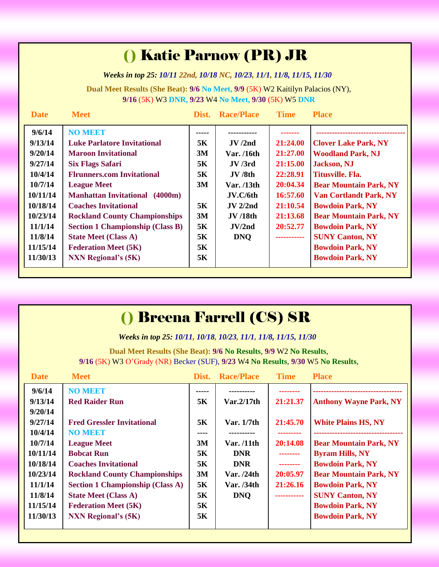## () Katie Parnow (PR) JR

*Weeks in top 25: 10/11 22nd, 10/18 NC, 10/23, 11/1, 11/8, 11/15, 11/30*

**Dual Meet Results (She Beat): 9/6 No Meet, 9/9** (5K) W2 Kaitilyn Palacios (NY), **9/16** (5K) W3 **DNR, 9/23** W4 **No Meet, 9/30** (5K) W5 **DNR**

| <b>Date</b> | <b>Meet</b>                              | Dist. | <b>Race/Place</b> | <b>Time</b> | <b>Place</b>                  |
|-------------|------------------------------------------|-------|-------------------|-------------|-------------------------------|
| 9/6/14      | <b>NO MEET</b>                           | ----- |                   |             |                               |
| 9/13/14     | <b>Luke Parlatore Invitational</b>       | 5K    | JV/2nd            | 21:24.00    | <b>Clover Lake Park, NY</b>   |
| 9/20/14     | <b>Maroon Invitational</b>               | 3M    | Var. /16th        | 21:27.00    | <b>Woodland Park, NJ</b>      |
| 9/27/14     | <b>Six Flags Safari</b>                  | 5K    | JV/3rd            | 21:15.00    | <b>Jackson</b> , NJ           |
| 10/4/14     | <b>Flrunners.com Invitational</b>        | 5K    | JV/8th            | 22:28.91    | Titusville. Fla.              |
| 10/7/14     | <b>League Meet</b>                       | 3M    | Var. /13th        | 20:04.34    | <b>Bear Mountain Park, NY</b> |
| 10/11/14    | <b>Manhattan Invitational</b><br>(4000m) |       | JV.C/6th          | 16:57.60    | <b>Van Cortlandt Park, NY</b> |
| 10/18/14    | <b>Coaches Invitational</b>              | 5K    | JV 2/2nd          | 21:10.54    | <b>Bowdoin Park, NY</b>       |
| 10/23/14    | <b>Rockland County Championships</b>     | 3M    | <b>JV</b> /18th   | 21:13.68    | <b>Bear Mountain Park, NY</b> |
| 11/1/14     | <b>Section 1 Championship (Class B)</b>  | 5K    | JV/2nd            | 20:52.77    | <b>Bowdoin Park, NY</b>       |
| 11/8/14     | <b>State Meet (Class A)</b>              | 5K    | <b>DNQ</b>        | ----------- | <b>SUNY Canton, NY</b>        |
| 11/15/14    | <b>Federation Meet (5K)</b>              | 5K    |                   |             | <b>Bowdoin Park, NY</b>       |
| 11/30/13    | <b>NXN Regional's (5K)</b>               | 5K    |                   |             | <b>Bowdoin Park, NY</b>       |

| <b>() Breena Farrell (CS) SR</b> |
|----------------------------------|
|----------------------------------|

*Weeks in top 25: 10/11, 10/18, 10/23, 11/1, 11/8, 11/15, 11/30*

**Dual Meet Results (She Beat): 9/6 No Results**, **9/9** W2 **No Results**, **9/16** (5K) W3 O'Grady (NR) Becker (SUF), **9/23** W4 **No Results**, **9/30** W5 **No Results**,

| <b>Date</b>                                                                               | <b>Meet</b>                                                                                                                                                                                                                                           | Dist.                                        | <b>Race/Place</b>                                                                  | <b>Time</b>                                                             | <b>Place</b>                                                                                                                                                                                                                   |
|-------------------------------------------------------------------------------------------|-------------------------------------------------------------------------------------------------------------------------------------------------------------------------------------------------------------------------------------------------------|----------------------------------------------|------------------------------------------------------------------------------------|-------------------------------------------------------------------------|--------------------------------------------------------------------------------------------------------------------------------------------------------------------------------------------------------------------------------|
| 9/6/14<br>9/13/14<br>9/20/14<br>9/27/14<br>10/4/14                                        | <b>NO MEET</b><br><b>Red Raider Run</b><br><b>Fred Gressler Invitational</b><br><b>NO MEET</b>                                                                                                                                                        | 5K<br>5K<br>----                             | Var.2/17th<br>Var. $1/7$ th<br>----------                                          | 21:21.37<br>21:45.70                                                    | <b>Anthony Wayne Park, NY</b><br><b>White Plains HS, NY</b>                                                                                                                                                                    |
| 10/7/14<br>10/11/14<br>10/18/14<br>10/23/14<br>11/1/14<br>11/8/14<br>11/15/14<br>11/30/13 | <b>League Meet</b><br><b>Bobcat Run</b><br><b>Coaches Invitational</b><br><b>Rockland County Championships</b><br><b>Section 1 Championship (Class A)</b><br><b>State Meet (Class A)</b><br><b>Federation Meet (5K)</b><br><b>NXN Regional's (5K)</b> | 3M<br>5K<br>5K<br>3M<br>5K<br>5K<br>5K<br>5K | Var. /11th<br><b>DNR</b><br><b>DNR</b><br>Var. $/24th$<br>Var. /34th<br><b>DNO</b> | 20:14.08<br>--------<br>--------<br>20:05.97<br>21:26.16<br>----------- | <b>Bear Mountain Park, NY</b><br><b>Byram Hills, NY</b><br><b>Bowdoin Park, NY</b><br><b>Bear Mountain Park, NY</b><br><b>Bowdoin Park, NY</b><br><b>SUNY Canton, NY</b><br><b>Bowdoin Park, NY</b><br><b>Bowdoin Park, NY</b> |